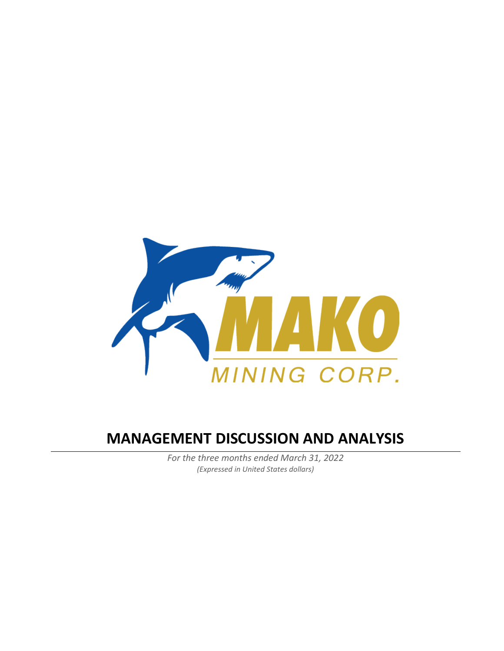

# **MANAGEMENT DISCUSSION AND ANALYSIS**

*For the three months ended March 31, 2022 (Expressed in United States dollars)*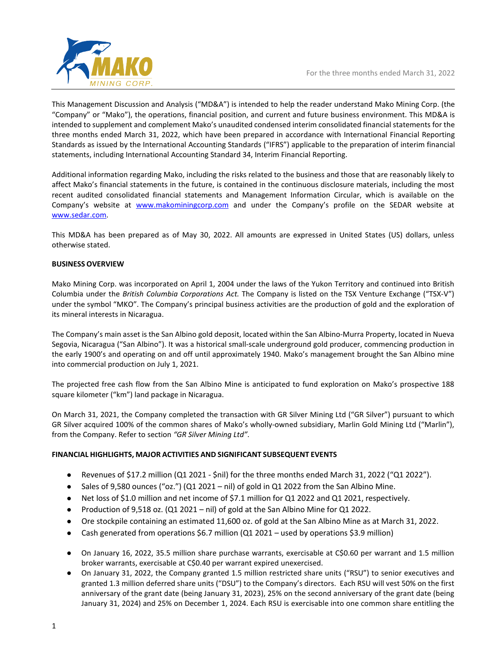

This Management Discussion and Analysis ("MD&A") is intended to help the reader understand Mako Mining Corp. (the "Company" or "Mako"), the operations, financial position, and current and future business environment. This MD&A is intended to supplement and complement Mako's unaudited condensed interim consolidated financial statements for the three months ended March 31, 2022, which have been prepared in accordance with International Financial Reporting Standards as issued by the International Accounting Standards ("IFRS") applicable to the preparation of interim financial statements, including International Accounting Standard 34, Interim Financial Reporting.

Additional information regarding Mako, including the risks related to the business and those that are reasonably likely to affect Mako's financial statements in the future, is contained in the continuous disclosure materials, including the most recent audited consolidated financial statements and Management Information Circular, which is available on the Company's website at [www.makominingcorp.com](http://www.makominingcorp.com/) and under the Company's profile on the SEDAR website at [www.sedar.com.](http://www.sedar.com/)

This MD&A has been prepared as of May 30, 2022. All amounts are expressed in United States (US) dollars, unless otherwise stated.

# **BUSINESS OVERVIEW**

Mako Mining Corp. was incorporated on April 1, 2004 under the laws of the Yukon Territory and continued into British Columbia under the *British Columbia Corporations Act.* The Company is listed on the TSX Venture Exchange ("TSX-V") under the symbol "MKO". The Company's principal business activities are the production of gold and the exploration of its mineral interests in Nicaragua.

The Company's main asset is the San Albino gold deposit, located within the San Albino-Murra Property, located in Nueva Segovia, Nicaragua ("San Albino"). It was a historical small-scale underground gold producer, commencing production in the early 1900's and operating on and off until approximately 1940. Mako's management brought the San Albino mine into commercial production on July 1, 2021.

The projected free cash flow from the San Albino Mine is anticipated to fund exploration on Mako's prospective 188 square kilometer ("km") land package in Nicaragua.

On March 31, 2021, the Company completed the transaction with GR Silver Mining Ltd ("GR Silver") pursuant to which GR Silver acquired 100% of the common shares of Mako's wholly-owned subsidiary, Marlin Gold Mining Ltd ("Marlin"), from the Company. Refer to section *"GR Silver Mining Ltd"*.

# **FINANCIAL HIGHLIGHTS, MAJOR ACTIVITIES AND SIGNIFICANT SUBSEQUENT EVENTS**

- Revenues of \$17.2 million (Q1 2021 \$nil) for the three months ended March 31, 2022 ("Q1 2022").
- Sales of 9,580 ounces ("oz.") (Q1 2021 nil) of gold in Q1 2022 from the San Albino Mine.
- Net loss of \$1.0 million and net income of \$7.1 million for Q1 2022 and Q1 2021, respectively.
- Production of 9,518 oz. (Q1 2021 nil) of gold at the San Albino Mine for Q1 2022.
- Ore stockpile containing an estimated 11,600 oz. of gold at the San Albino Mine as at March 31, 2022.
- Cash generated from operations \$6.7 million (Q1 2021 used by operations \$3.9 million)
- On January 16, 2022, 35.5 million share purchase warrants, exercisable at C\$0.60 per warrant and 1.5 million broker warrants, exercisable at C\$0.40 per warrant expired unexercised.
- On January 31, 2022, the Company granted 1.5 million restricted share units ("RSU") to senior executives and granted 1.3 million deferred share units ("DSU") to the Company's directors. Each RSU will vest 50% on the first anniversary of the grant date (being January 31, 2023), 25% on the second anniversary of the grant date (being January 31, 2024) and 25% on December 1, 2024. Each RSU is exercisable into one common share entitling the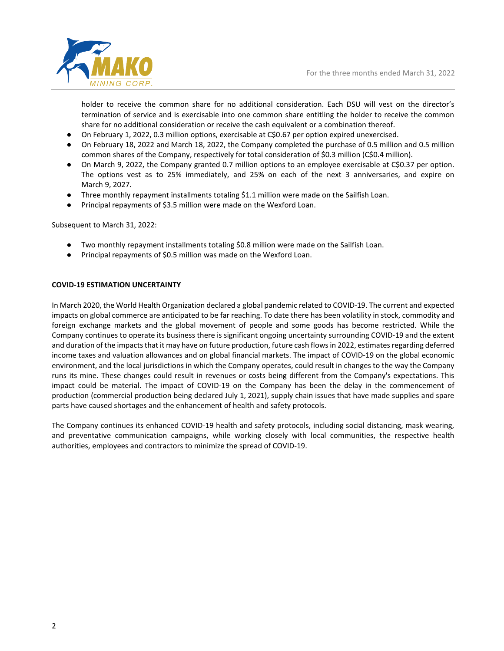holder to receive the common share for no additional consideration. Each DSU will vest on the director's termination of service and is exercisable into one common share entitling the holder to receive the common share for no additional consideration or receive the cash equivalent or a combination thereof.

- On February 1, 2022, 0.3 million options, exercisable at C\$0.67 per option expired unexercised.
- On February 18, 2022 and March 18, 2022, the Company completed the purchase of 0.5 million and 0.5 million common shares of the Company, respectively for total consideration of \$0.3 million (C\$0.4 million).
- On March 9, 2022, the Company granted 0.7 million options to an employee exercisable at C\$0.37 per option. The options vest as to 25% immediately, and 25% on each of the next 3 anniversaries, and expire on March 9, 2027.
- Three monthly repayment installments totaling \$1.1 million were made on the Sailfish Loan.
- Principal repayments of \$3.5 million were made on the Wexford Loan.

Subsequent to March 31, 2022:

- Two monthly repayment installments totaling \$0.8 million were made on the Sailfish Loan.
- Principal repayments of \$0.5 million was made on the Wexford Loan.

#### **COVID-19 ESTIMATION UNCERTAINTY**

In March 2020, the World Health Organization declared a global pandemic related to COVID-19. The current and expected impacts on global commerce are anticipated to be far reaching. To date there has been volatility in stock, commodity and foreign exchange markets and the global movement of people and some goods has become restricted. While the Company continues to operate its business there is significant ongoing uncertainty surrounding COVID-19 and the extent and duration of the impacts that it may have on future production, future cash flows in 2022, estimates regarding deferred income taxes and valuation allowances and on global financial markets. The impact of COVID-19 on the global economic environment, and the local jurisdictions in which the Company operates, could result in changes to the way the Company runs its mine. These changes could result in revenues or costs being different from the Company's expectations. This impact could be material. The impact of COVID-19 on the Company has been the delay in the commencement of production (commercial production being declared July 1, 2021), supply chain issues that have made supplies and spare parts have caused shortages and the enhancement of health and safety protocols.

The Company continues its enhanced COVID-19 health and safety protocols, including social distancing, mask wearing, and preventative communication campaigns, while working closely with local communities, the respective health authorities, employees and contractors to minimize the spread of COVID-19.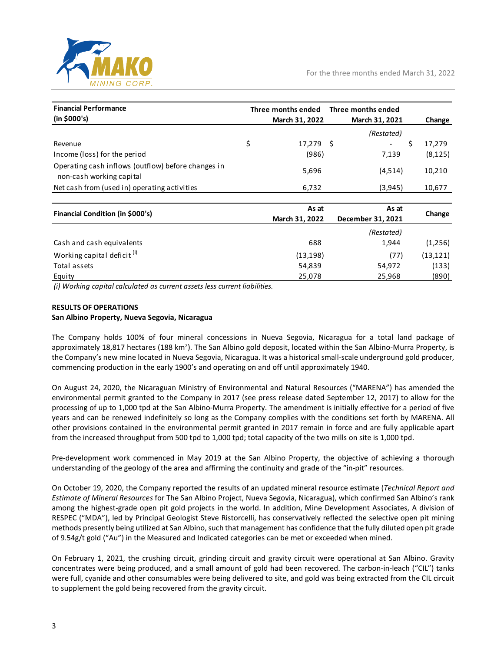

| <b>Financial Performance</b>                                                   | Three months ended | Three months ended |              |
|--------------------------------------------------------------------------------|--------------------|--------------------|--------------|
| (in \$000's)                                                                   | March 31, 2022     | March 31, 2021     | Change       |
|                                                                                |                    | (Restated)         |              |
| Revenue                                                                        | \$<br>17,279 \$    |                    | \$<br>17,279 |
| Income (loss) for the period                                                   | (986)              | 7,139              | (8, 125)     |
| Operating cash inflows (outflow) before changes in<br>non-cash working capital | 5,696              | (4,514)            | 10,210       |
| Net cash from (used in) operating activities                                   | 6,732              | (3,945)            | 10,677       |
|                                                                                |                    |                    |              |
| Financial Condition (in \$000's)                                               | As at              | As at              | Change       |
|                                                                                | March 31, 2022     | December 31, 2021  |              |
|                                                                                |                    | (Restated)         |              |
| Cash and cash equivalents                                                      | 688                | 1,944              | (1,256)      |
| Working capital deficit <sup>(i)</sup>                                         | (13, 198)          | (77)               | (13, 121)    |
| Total assets                                                                   | 54,839             | 54,972             | (133)        |
| Equity                                                                         | 25,078             | 25,968             | (890)        |

*(i) Working capital calculated as current assets less current liabilities.*

#### **RESULTS OF OPERATIONS**

#### **San Albino Property, Nueva Segovia, Nicaragua**

The Company holds 100% of four mineral concessions in Nueva Segovia, Nicaragua for a total land package of approximately 18,817 hectares (188 km<sup>2</sup>). The San Albino gold deposit, located within the San Albino-Murra Property, is the Company's new mine located in Nueva Segovia, Nicaragua. It was a historical small-scale underground gold producer, commencing production in the early 1900's and operating on and off until approximately 1940.

On August 24, 2020, the Nicaraguan Ministry of Environmental and Natural Resources ("MARENA") has amended the environmental permit granted to the Company in 2017 (see press release dated September 12, 2017) to allow for the processing of up to 1,000 tpd at the San Albino-Murra Property. The amendment is initially effective for a period of five years and can be renewed indefinitely so long as the Company complies with the conditions set forth by MARENA. All other provisions contained in the environmental permit granted in 2017 remain in force and are fully applicable apart from the increased throughput from 500 tpd to 1,000 tpd; total capacity of the two mills on site is 1,000 tpd.

Pre-development work commenced in May 2019 at the San Albino Property, the objective of achieving a thorough understanding of the geology of the area and affirming the continuity and grade of the "in-pit" resources.

On October 19, 2020, the Company reported the results of an updated mineral resource estimate (*Technical Report and Estimate of Mineral Resources* for The San Albino Project, Nueva Segovia, Nicaragua), which confirmed San Albino's rank among the highest-grade open pit gold projects in the world. In addition, Mine Development Associates, A division of RESPEC ("MDA"), led by Principal Geologist Steve Ristorcelli, has conservatively reflected the selective open pit mining methods presently being utilized at San Albino, such that management has confidence that the fully diluted open pit grade of 9.54g/t gold ("Au") in the Measured and Indicated categories can be met or exceeded when mined.

On February 1, 2021, the crushing circuit, grinding circuit and gravity circuit were operational at San Albino. Gravity concentrates were being produced, and a small amount of gold had been recovered. The carbon-in-leach ("CIL") tanks were full, cyanide and other consumables were being delivered to site, and gold was being extracted from the CIL circuit to supplement the gold being recovered from the gravity circuit.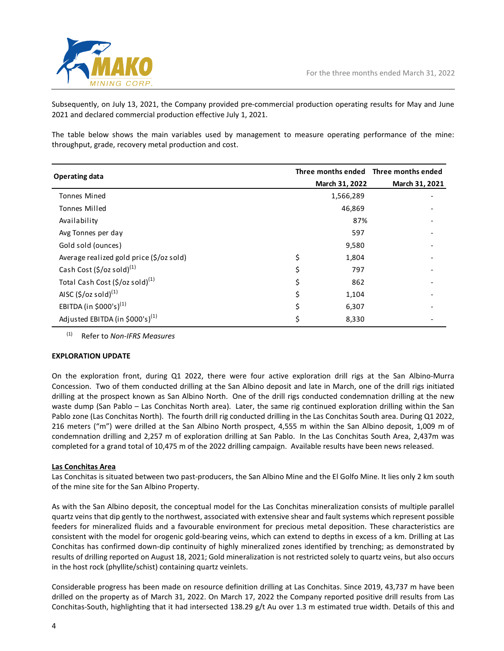

Subsequently, on July 13, 2021, the Company provided pre-commercial production operating results for May and June 2021 and declared commercial production effective July 1, 2021.

The table below shows the main variables used by management to measure operating performance of the mine: throughput, grade, recovery metal production and cost.

| <b>Operating data</b>                       |                | Three months ended Three months ended |
|---------------------------------------------|----------------|---------------------------------------|
|                                             | March 31, 2022 | March 31, 2021                        |
| <b>Tonnes Mined</b>                         | 1,566,289      |                                       |
| <b>Tonnes Milled</b>                        | 46,869         |                                       |
| Availability                                | 87%            |                                       |
| Avg Tonnes per day                          | 597            |                                       |
| Gold sold (ounces)                          | 9,580          |                                       |
| Average realized gold price (\$/oz sold)    | \$<br>1,804    |                                       |
| Cash Cost (\$/oz sold) <sup>(1)</sup>       | \$<br>797      |                                       |
| Total Cash Cost (\$/oz sold) <sup>(1)</sup> | \$<br>862      |                                       |
| AISC $(5/oz \text{ sold})^{(1)}$            | \$<br>1,104    |                                       |
| EBITDA (in \$000's) <sup>(1)</sup>          | \$<br>6,307    |                                       |
| Adjusted EBITDA (in \$000's) <sup>(1)</sup> | \$<br>8,330    |                                       |

(1) Refer to *Non-IFRS Measures*

# **EXPLORATION UPDATE**

On the exploration front, during Q1 2022, there were four active exploration drill rigs at the San Albino-Murra Concession. Two of them conducted drilling at the San Albino deposit and late in March, one of the drill rigs initiated drilling at the prospect known as San Albino North. One of the drill rigs conducted condemnation drilling at the new waste dump (San Pablo – Las Conchitas North area). Later, the same rig continued exploration drilling within the San Pablo zone (Las Conchitas North). The fourth drill rig conducted drilling in the Las Conchitas South area. During Q1 2022, 216 meters ("m") were drilled at the San Albino North prospect, 4,555 m within the San Albino deposit, 1,009 m of condemnation drilling and 2,257 m of exploration drilling at San Pablo. In the Las Conchitas South Area, 2,437m was completed for a grand total of 10,475 m of the 2022 drilling campaign. Available results have been news released.

# **Las Conchitas Area**

Las Conchitas is situated between two past-producers, the San Albino Mine and the El Golfo Mine. It lies only 2 km south of the mine site for the San Albino Property.

As with the San Albino deposit, the conceptual model for the Las Conchitas mineralization consists of multiple parallel quartz veins that dip gently to the northwest, associated with extensive shear and fault systems which represent possible feeders for mineralized fluids and a favourable environment for precious metal deposition. These characteristics are consistent with the model for orogenic gold-bearing veins, which can extend to depths in excess of a km. Drilling at Las Conchitas has confirmed down-dip continuity of highly mineralized zones identified by trenching; as demonstrated by results of drilling reported on August 18, 2021; Gold mineralization is not restricted solely to quartz veins, but also occurs in the host rock (phyllite/schist) containing quartz veinlets.

Considerable progress has been made on resource definition drilling at Las Conchitas. Since 2019, 43,737 m have been drilled on the property as of March 31, 2022. On March 17, 2022 the Company reported positive drill results from Las Conchitas-South, highlighting that it had intersected 138.29 g/t Au over 1.3 m estimated true width. Details of this and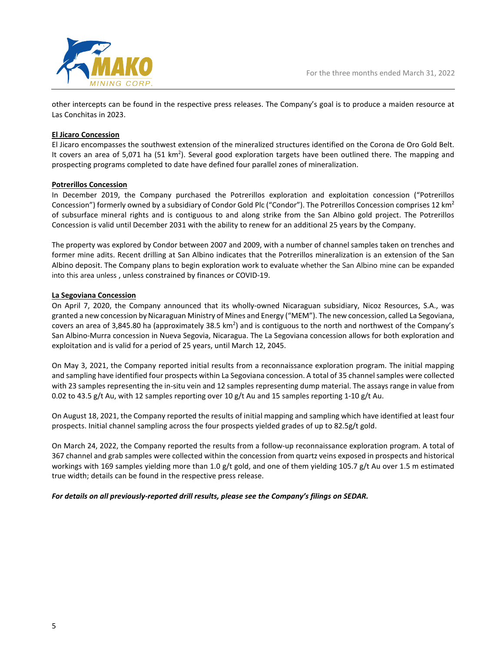

other intercepts can be found in the respective press releases. The Company's goal is to produce a maiden resource at Las Conchitas in 2023.

# **El Jicaro Concession**

El Jicaro encompasses the southwest extension of the mineralized structures identified on the Corona de Oro Gold Belt. It covers an area of 5,071 ha (51 km<sup>2</sup>). Several good exploration targets have been outlined there. The mapping and prospecting programs completed to date have defined four parallel zones of mineralization.

#### **Potrerillos Concession**

In December 2019, the Company purchased the Potrerillos exploration and exploitation concession ("Potrerillos Concession") formerly owned by a subsidiary of Condor Gold Plc ("Condor"). The Potrerillos Concession comprises 12  $km^2$ of subsurface mineral rights and is contiguous to and along strike from the San Albino gold project. The Potrerillos Concession is valid until December 2031 with the ability to renew for an additional 25 years by the Company.

The property was explored by Condor between 2007 and 2009, with a number of channel samples taken on trenches and former mine adits. Recent drilling at San Albino indicates that the Potrerillos mineralization is an extension of the San Albino deposit. The Company plans to begin exploration work to evaluate whether the San Albino mine can be expanded into this area unless , unless constrained by finances or COVID-19.

#### **La Segoviana Concession**

On April 7, 2020, the Company announced that its wholly-owned Nicaraguan subsidiary, Nicoz Resources, S.A., was granted a new concession by Nicaraguan Ministry of Mines and Energy ("MEM"). The new concession, called La Segoviana, covers an area of 3,845.80 ha (approximately 38.5 km<sup>2</sup>) and is contiguous to the north and northwest of the Company's San Albino-Murra concession in Nueva Segovia, Nicaragua. The La Segoviana concession allows for both exploration and exploitation and is valid for a period of 25 years, until March 12, 2045.

On May 3, 2021, the Company reported initial results from a reconnaissance exploration program. The initial mapping and sampling have identified four prospects within La Segoviana concession. A total of 35 channel samples were collected with 23 samples representing the in-situ vein and 12 samples representing dump material. The assays range in value from 0.02 to 43.5 g/t Au, with 12 samples reporting over 10 g/t Au and 15 samples reporting 1-10 g/t Au.

On August 18, 2021, the Company reported the results of initial mapping and sampling which have identified at least four prospects. Initial channel sampling across the four prospects yielded grades of up to 82.5g/t gold.

On March 24, 2022, the Company reported the results from a follow-up reconnaissance exploration program. A total of 367 channel and grab samples were collected within the concession from quartz veins exposed in prospects and historical workings with 169 samples yielding more than 1.0 g/t gold, and one of them yielding 105.7 g/t Au over 1.5 m estimated true width; details can be found in the respective press release.

*For details on all previously-reported drill results, please see the Company's filings on SEDAR.*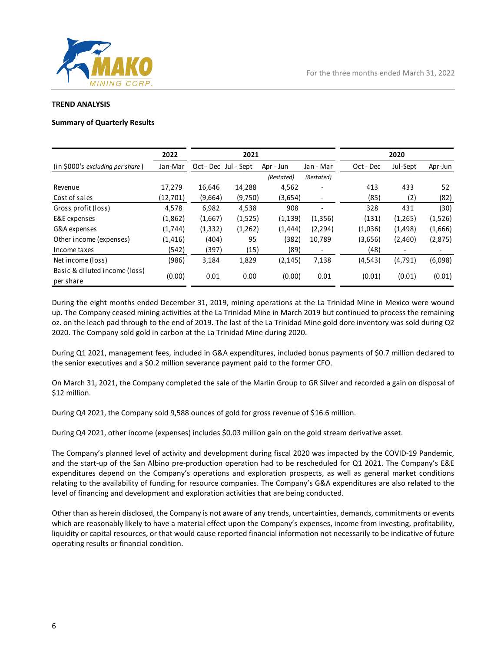

#### **TREND ANALYSIS**

#### **Summary of Quarterly Results**

|                                            | 2022     |          | 2021                 |            |                          |           | 2020                     |         |
|--------------------------------------------|----------|----------|----------------------|------------|--------------------------|-----------|--------------------------|---------|
| (in \$000's excluding per share)           | Jan-Mar  |          | Oct - Dec Jul - Sept | Apr - Jun  | Jan - Mar                | Oct - Dec | Jul-Sept                 | Apr-Jun |
|                                            |          |          |                      | (Restated) | (Restated)               |           |                          |         |
| Revenue                                    | 17,279   | 16,646   | 14,288               | 4,562      | ۰                        | 413       | 433                      | 52      |
| Cost of sales                              | (12,701) | (9,664)  | (9,750)              | (3,654)    | $\overline{\phantom{a}}$ | (85)      | (2)                      | (82)    |
| Gross profit (loss)                        | 4,578    | 6,982    | 4,538                | 908        | ٠                        | 328       | 431                      | (30)    |
| E&E expenses                               | (1,862)  | (1,667)  | (1,525)              | (1, 139)   | (1, 356)                 | (131)     | (1,265)                  | (1,526) |
| G&A expenses                               | (1,744)  | (1, 332) | (1,262)              | (1, 444)   | (2, 294)                 | (1,036)   | (1,498)                  | (1,666) |
| Other income (expenses)                    | (1, 416) | (404)    | 95                   | (382)      | 10,789                   | (3,656)   | (2,460)                  | (2,875) |
| Income taxes                               | (542)    | (397)    | (15)                 | (89)       | $\overline{\phantom{a}}$ | (48)      | $\overline{\phantom{a}}$ |         |
| Net income (loss)                          | (986)    | 3,184    | 1,829                | (2, 145)   | 7,138                    | (4, 543)  | (4,791)                  | (6,098) |
| Basic & diluted income (loss)<br>per share | (0.00)   | 0.01     | 0.00                 | (0.00)     | 0.01                     | (0.01)    | (0.01)                   | (0.01)  |

During the eight months ended December 31, 2019, mining operations at the La Trinidad Mine in Mexico were wound up. The Company ceased mining activities at the La Trinidad Mine in March 2019 but continued to process the remaining oz. on the leach pad through to the end of 2019. The last of the La Trinidad Mine gold dore inventory was sold during Q2 2020. The Company sold gold in carbon at the La Trinidad Mine during 2020.

During Q1 2021, management fees, included in G&A expenditures, included bonus payments of \$0.7 million declared to the senior executives and a \$0.2 million severance payment paid to the former CFO.

On March 31, 2021, the Company completed the sale of the Marlin Group to GR Silver and recorded a gain on disposal of \$12 million.

During Q4 2021, the Company sold 9,588 ounces of gold for gross revenue of \$16.6 million.

During Q4 2021, other income (expenses) includes \$0.03 million gain on the gold stream derivative asset.

The Company's planned level of activity and development during fiscal 2020 was impacted by the COVID-19 Pandemic, and the start-up of the San Albino pre-production operation had to be rescheduled for Q1 2021. The Company's E&E expenditures depend on the Company's operations and exploration prospects, as well as general market conditions relating to the availability of funding for resource companies. The Company's G&A expenditures are also related to the level of financing and development and exploration activities that are being conducted.

Other than as herein disclosed, the Company is not aware of any trends, uncertainties, demands, commitments or events which are reasonably likely to have a material effect upon the Company's expenses, income from investing, profitability, liquidity or capital resources, or that would cause reported financial information not necessarily to be indicative of future operating results or financial condition.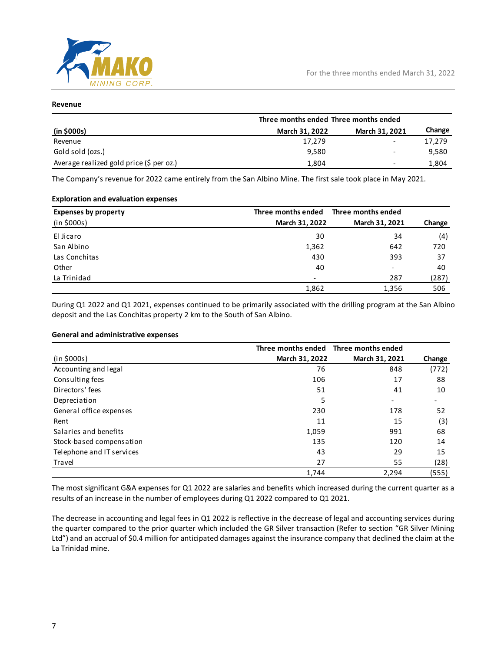![](_page_7_Picture_0.jpeg)

# **Revenue**

|                                          | Three months ended Three months ended |                          |        |  |
|------------------------------------------|---------------------------------------|--------------------------|--------|--|
| (in \$000s)                              | March 31, 2022                        | March 31, 2021           | Change |  |
| Revenue                                  | 17,279                                |                          | 17,279 |  |
| Gold sold (ozs.)                         | 9,580                                 |                          | 9,580  |  |
| Average realized gold price (\$ per oz.) | 1.804                                 | $\overline{\phantom{0}}$ | 1,804  |  |

The Company's revenue for 2022 came entirely from the San Albino Mine. The first sale took place in May 2021.

#### **Exploration and evaluation expenses**

| <b>Expenses by property</b> | Three months ended | Three months ended       |        |
|-----------------------------|--------------------|--------------------------|--------|
| (in \$000s)                 | March 31, 2022     | March 31, 2021           | Change |
| El Jicaro                   | 30                 | 34                       | (4)    |
| San Albino                  | 1,362              | 642                      | 720    |
| Las Conchitas               | 430                | 393                      | 37     |
| Other                       | 40                 | $\overline{\phantom{a}}$ | 40     |
| La Trinidad                 |                    | 287                      | (287)  |
|                             | 1,862              | 1,356                    | 506    |

During Q1 2022 and Q1 2021, expenses continued to be primarily associated with the drilling program at the San Albino deposit and the Las Conchitas property 2 km to the South of San Albino.

#### **General and administrative expenses**

|                           |                | Three months ended Three months ended |        |
|---------------------------|----------------|---------------------------------------|--------|
| (in \$000s)               | March 31, 2022 | March 31, 2021                        | Change |
| Accounting and legal      | 76             | 848                                   | (772)  |
| Consulting fees           | 106            | 17                                    | 88     |
| Directors' fees           | 51             | 41                                    | 10     |
| Depreciation              | 5              |                                       |        |
| General office expenses   | 230            | 178                                   | 52     |
| Rent                      | 11             | 15                                    | (3)    |
| Salaries and benefits     | 1,059          | 991                                   | 68     |
| Stock-based compensation  | 135            | 120                                   | 14     |
| Telephone and IT services | 43             | 29                                    | 15     |
| Travel                    | 27             | 55                                    | (28)   |
|                           | 1,744          | 2,294                                 | (555)  |

The most significant G&A expenses for Q1 2022 are salaries and benefits which increased during the current quarter as a results of an increase in the number of employees during Q1 2022 compared to Q1 2021.

The decrease in accounting and legal fees in Q1 2022 is reflective in the decrease of legal and accounting services during the quarter compared to the prior quarter which included the GR Silver transaction (Refer to section "GR Silver Mining Ltd") and an accrual of \$0.4 million for anticipated damages against the insurance company that declined the claim at the La Trinidad mine.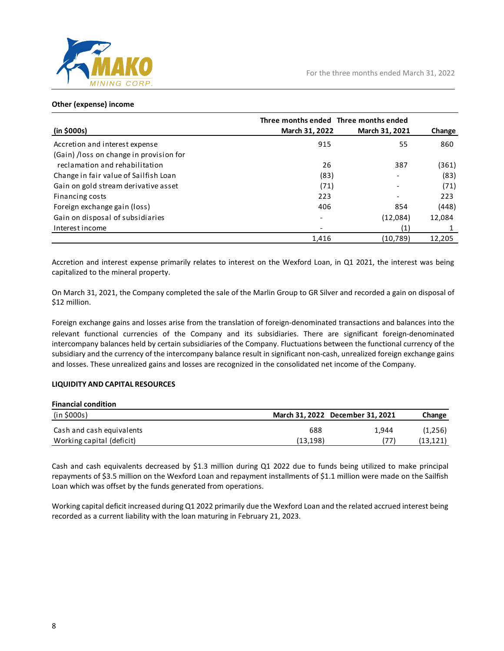![](_page_8_Picture_0.jpeg)

# **Other (expense) income**

|                                         | Three months ended Three months ended |                |        |
|-----------------------------------------|---------------------------------------|----------------|--------|
| (in \$000s)                             | March 31, 2022                        | March 31, 2021 | Change |
| Accretion and interest expense          | 915                                   | 55             | 860    |
| (Gain) /loss on change in provision for |                                       |                |        |
| reclamation and rehabilitation          | 26                                    | 387            | (361)  |
| Change in fair value of Sailfish Loan   | (83)                                  |                | (83)   |
| Gain on gold stream derivative asset    | (71)                                  |                | (71)   |
| Financing costs                         | 223                                   |                | 223    |
| Foreign exchange gain (loss)            | 406                                   | 854            | (448)  |
| Gain on disposal of subsidiaries        | $\overline{\phantom{0}}$              | (12,084)       | 12,084 |
| Interest income                         |                                       | (1)            |        |
|                                         | 1,416                                 | (10,789)       | 12,205 |

Accretion and interest expense primarily relates to interest on the Wexford Loan, in Q1 2021, the interest was being capitalized to the mineral property.

On March 31, 2021, the Company completed the sale of the Marlin Group to GR Silver and recorded a gain on disposal of \$12 million.

Foreign exchange gains and losses arise from the translation of foreign-denominated transactions and balances into the relevant functional currencies of the Company and its subsidiaries. There are significant foreign-denominated intercompany balances held by certain subsidiaries of the Company. Fluctuations between the functional currency of the subsidiary and the currency of the intercompany balance result in significant non-cash, unrealized foreign exchange gains and losses. These unrealized gains and losses are recognized in the consolidated net income of the Company.

# **LIQUIDITY AND CAPITAL RESOURCES**

| <b>Financial condition</b> |          |                                  |           |
|----------------------------|----------|----------------------------------|-----------|
| (in \$000s)                |          | March 31, 2022 December 31, 2021 | Change    |
| Cash and cash equivalents  | 688      | 1.944                            | (1,256)   |
| Working capital (deficit)  | (13,198) |                                  | (13, 121) |

Cash and cash equivalents decreased by \$1.3 million during Q1 2022 due to funds being utilized to make principal repayments of \$3.5 million on the Wexford Loan and repayment installments of \$1.1 million were made on the Sailfish Loan which was offset by the funds generated from operations.

Working capital deficit increased during Q1 2022 primarily due the Wexford Loan and the related accrued interest being recorded as a current liability with the loan maturing in February 21, 2023.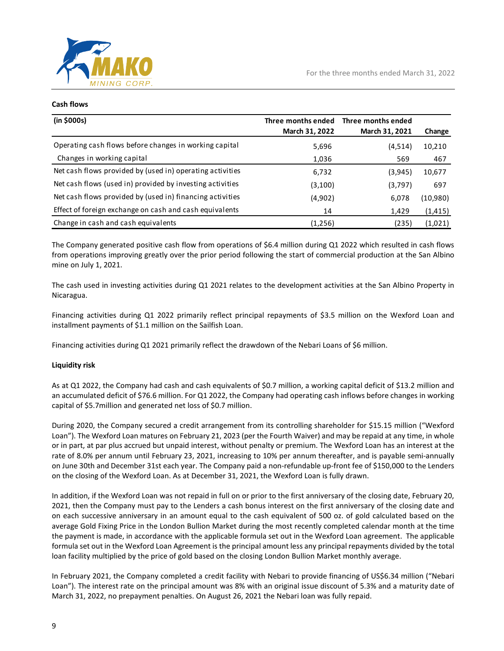![](_page_9_Picture_0.jpeg)

#### **Cash flows**

| (in \$000s)                                               | Three months ended<br>March 31, 2022 | Three months ended<br>March 31, 2021 | Change   |
|-----------------------------------------------------------|--------------------------------------|--------------------------------------|----------|
| Operating cash flows before changes in working capital    | 5,696                                | (4,514)                              | 10,210   |
| Changes in working capital                                | 1,036                                | 569                                  | 467      |
| Net cash flows provided by (used in) operating activities | 6,732                                | (3,945)                              | 10,677   |
| Net cash flows (used in) provided by investing activities | (3, 100)                             | (3,797)                              | 697      |
| Net cash flows provided by (used in) financing activities | (4,902)                              | 6,078                                | (10,980) |
| Effect of foreign exchange on cash and cash equivalents   | 14                                   | 1,429                                | (1, 415) |
| Change in cash and cash equivalents                       | (1,256)                              | (235)                                | (1,021)  |

The Company generated positive cash flow from operations of \$6.4 million during Q1 2022 which resulted in cash flows from operations improving greatly over the prior period following the start of commercial production at the San Albino mine on July 1, 2021.

The cash used in investing activities during Q1 2021 relates to the development activities at the San Albino Property in Nicaragua.

Financing activities during Q1 2022 primarily reflect principal repayments of \$3.5 million on the Wexford Loan and installment payments of \$1.1 million on the Sailfish Loan.

Financing activities during Q1 2021 primarily reflect the drawdown of the Nebari Loans of \$6 million.

# **Liquidity risk**

As at Q1 2022, the Company had cash and cash equivalents of \$0.7 million, a working capital deficit of \$13.2 million and an accumulated deficit of \$76.6 million. For Q1 2022, the Company had operating cash inflows before changes in working capital of \$5.7million and generated net loss of \$0.7 million.

During 2020, the Company secured a credit arrangement from its controlling shareholder for \$15.15 million ("Wexford Loan"). The Wexford Loan matures on February 21, 2023 (per the Fourth Waiver) and may be repaid at any time, in whole or in part, at par plus accrued but unpaid interest, without penalty or premium. The Wexford Loan has an interest at the rate of 8.0% per annum until February 23, 2021, increasing to 10% per annum thereafter, and is payable semi-annually on June 30th and December 31st each year. The Company paid a non-refundable up-front fee of \$150,000 to the Lenders on the closing of the Wexford Loan. As at December 31, 2021, the Wexford Loan is fully drawn.

In addition, if the Wexford Loan was not repaid in full on or prior to the first anniversary of the closing date, February 20, 2021, then the Company must pay to the Lenders a cash bonus interest on the first anniversary of the closing date and on each successive anniversary in an amount equal to the cash equivalent of 500 oz. of gold calculated based on the average Gold Fixing Price in the London Bullion Market during the most recently completed calendar month at the time the payment is made, in accordance with the applicable formula set out in the Wexford Loan agreement. The applicable formula set out in the Wexford Loan Agreement is the principal amount less any principal repayments divided by the total loan facility multiplied by the price of gold based on the closing London Bullion Market monthly average.

In February 2021, the Company completed a credit facility with Nebari to provide financing of US\$6.34 million ("Nebari Loan"). The interest rate on the principal amount was 8% with an original issue discount of 5.3% and a maturity date of March 31, 2022, no prepayment penalties. On August 26, 2021 the Nebari loan was fully repaid.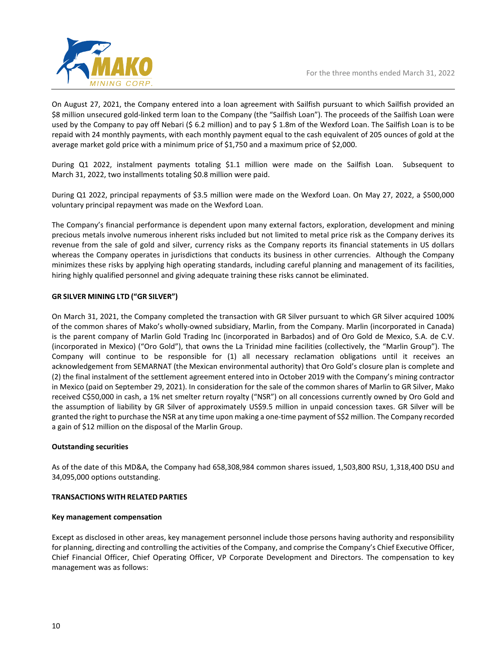![](_page_10_Picture_1.jpeg)

On August 27, 2021, the Company entered into a loan agreement with Sailfish pursuant to which Sailfish provided an \$8 million unsecured gold-linked term loan to the Company (the "Sailfish Loan"). The proceeds of the Sailfish Loan were used by the Company to pay off Nebari (\$ 6.2 million) and to pay \$ 1.8m of the Wexford Loan. The Sailfish Loan is to be repaid with 24 monthly payments, with each monthly payment equal to the cash equivalent of 205 ounces of gold at the average market gold price with a minimum price of \$1,750 and a maximum price of \$2,000.

During Q1 2022, instalment payments totaling \$1.1 million were made on the Sailfish Loan. Subsequent to March 31, 2022, two installments totaling \$0.8 million were paid.

During Q1 2022, principal repayments of \$3.5 million were made on the Wexford Loan. On May 27, 2022, a \$500,000 voluntary principal repayment was made on the Wexford Loan.

The Company's financial performance is dependent upon many external factors, exploration, development and mining precious metals involve numerous inherent risks included but not limited to metal price risk as the Company derives its revenue from the sale of gold and silver, currency risks as the Company reports its financial statements in US dollars whereas the Company operates in jurisdictions that conducts its business in other currencies. Although the Company minimizes these risks by applying high operating standards, including careful planning and management of its facilities, hiring highly qualified personnel and giving adequate training these risks cannot be eliminated.

# **GR SILVER MINING LTD ("GR SILVER")**

On March 31, 2021, the Company completed the transaction with GR Silver pursuant to which GR Silver acquired 100% of the common shares of Mako's wholly-owned subsidiary, Marlin, from the Company. Marlin (incorporated in Canada) is the parent company of Marlin Gold Trading Inc (incorporated in Barbados) and of Oro Gold de Mexico, S.A. de C.V. (incorporated in Mexico) ("Oro Gold"), that owns the La Trinidad mine facilities (collectively, the "Marlin Group"). The Company will continue to be responsible for (1) all necessary reclamation obligations until it receives an acknowledgement from SEMARNAT (the Mexican environmental authority) that Oro Gold's closure plan is complete and (2) the final instalment of the settlement agreement entered into in October 2019 with the Company's mining contractor in Mexico (paid on September 29, 2021). In consideration for the sale of the common shares of Marlin to GR Silver, Mako received C\$50,000 in cash, a 1% net smelter return royalty ("NSR") on all concessions currently owned by Oro Gold and the assumption of liability by GR Silver of approximately US\$9.5 million in unpaid concession taxes. GR Silver will be granted the right to purchase the NSR at any time upon making a one-time payment of S\$2 million. The Company recorded a gain of \$12 million on the disposal of the Marlin Group.

# **Outstanding securities**

As of the date of this MD&A, the Company had 658,308,984 common shares issued, 1,503,800 RSU, 1,318,400 DSU and 34,095,000 options outstanding.

# **TRANSACTIONS WITH RELATED PARTIES**

#### **Key management compensation**

Except as disclosed in other areas, key management personnel include those persons having authority and responsibility for planning, directing and controlling the activities of the Company, and comprise the Company's Chief Executive Officer, Chief Financial Officer, Chief Operating Officer, VP Corporate Development and Directors. The compensation to key management was as follows: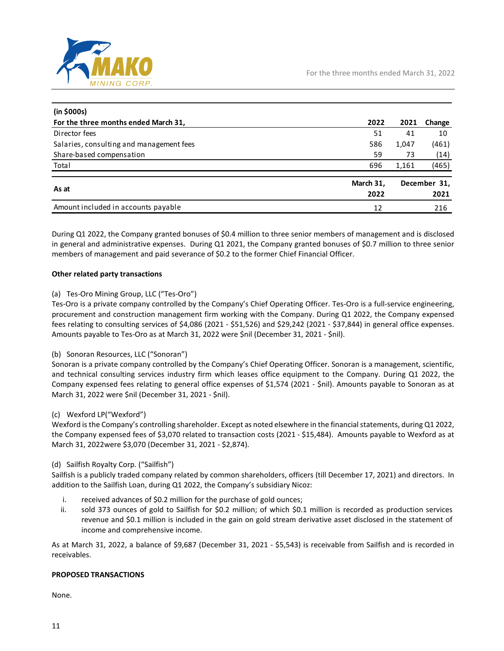![](_page_11_Picture_0.jpeg)

| (in \$000s)                              |                   |       |                      |
|------------------------------------------|-------------------|-------|----------------------|
| For the three months ended March 31,     | 2022              | 2021  | Change               |
| Director fees                            | 51                | 41    | 10                   |
| Salaries, consulting and management fees | 586               | 1,047 | (461)                |
| Share-based compensation                 | 59                | 73    | (14)                 |
| Total                                    | 696               | 1,161 | (465)                |
| As at                                    | March 31,<br>2022 |       | December 31,<br>2021 |
| Amount included in accounts payable      | 12                |       | 216                  |

During Q1 2022, the Company granted bonuses of \$0.4 million to three senior members of management and is disclosed in general and administrative expenses. During Q1 2021, the Company granted bonuses of \$0.7 million to three senior members of management and paid severance of \$0.2 to the former Chief Financial Officer.

# **Other related party transactions**

# (a) Tes-Oro Mining Group, LLC ("Tes-Oro")

Tes-Oro is a private company controlled by the Company's Chief Operating Officer. Tes-Oro is a full-service engineering, procurement and construction management firm working with the Company. During Q1 2022, the Company expensed fees relating to consulting services of \$4,086 (2021 - \$51,526) and \$29,242 (2021 - \$37,844) in general office expenses. Amounts payable to Tes-Oro as at March 31, 2022 were \$nil (December 31, 2021 - \$nil).

# (b) Sonoran Resources, LLC ("Sonoran")

Sonoran is a private company controlled by the Company's Chief Operating Officer. Sonoran is a management, scientific, and technical consulting services industry firm which leases office equipment to the Company. During Q1 2022, the Company expensed fees relating to general office expenses of \$1,574 (2021 - \$nil). Amounts payable to Sonoran as at March 31, 2022 were \$nil (December 31, 2021 - \$nil).

# (c) Wexford LP("Wexford")

Wexford is the Company's controlling shareholder. Except as noted elsewhere in the financial statements, during Q1 2022, the Company expensed fees of \$3,070 related to transaction costs (2021 - \$15,484). Amounts payable to Wexford as at March 31, 2022were \$3,070 (December 31, 2021 - \$2,874).

# (d) Sailfish Royalty Corp. ("Sailfish")

Sailfish is a publicly traded company related by common shareholders, officers (till December 17, 2021) and directors. In addition to the Sailfish Loan, during Q1 2022, the Company's subsidiary Nicoz:

- i. received advances of \$0.2 million for the purchase of gold ounces;
- ii. sold 373 ounces of gold to Sailfish for \$0.2 million; of which \$0.1 million is recorded as production services revenue and \$0.1 million is included in the gain on gold stream derivative asset disclosed in the statement of income and comprehensive income.

As at March 31, 2022, a balance of \$9,687 (December 31, 2021 - \$5,543) is receivable from Sailfish and is recorded in receivables.

# **PROPOSED TRANSACTIONS**

None.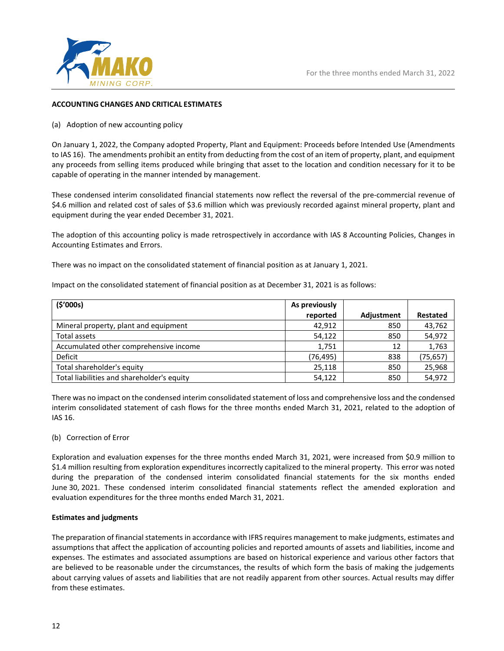![](_page_12_Picture_0.jpeg)

# **ACCOUNTING CHANGES AND CRITICAL ESTIMATES**

#### (a) Adoption of new accounting policy

On January 1, 2022, the Company adopted Property, Plant and Equipment: Proceeds before Intended Use (Amendments to IAS 16). The amendments prohibit an entity from deducting from the cost of an item of property, plant, and equipment any proceeds from selling items produced while bringing that asset to the location and condition necessary for it to be capable of operating in the manner intended by management.

These condensed interim consolidated financial statements now reflect the reversal of the pre-commercial revenue of \$4.6 million and related cost of sales of \$3.6 million which was previously recorded against mineral property, plant and equipment during the year ended December 31, 2021.

The adoption of this accounting policy is made retrospectively in accordance with IAS 8 Accounting Policies, Changes in Accounting Estimates and Errors.

There was no impact on the consolidated statement of financial position as at January 1, 2021.

Impact on the consolidated statement of financial position as at December 31, 2021 is as follows:

| (5'000s)                                   | As previously |            |           |
|--------------------------------------------|---------------|------------|-----------|
|                                            | reported      | Adjustment | Restated  |
| Mineral property, plant and equipment      | 42.912        | 850        | 43,762    |
| Total assets                               | 54,122        | 850        | 54,972    |
| Accumulated other comprehensive income     | 1,751         | 12         | 1,763     |
| Deficit                                    | (76, 495)     | 838        | (75, 657) |
| Total shareholder's equity                 | 25,118        | 850        | 25,968    |
| Total liabilities and shareholder's equity | 54,122        | 850        | 54,972    |

There was no impact on the condensed interim consolidated statement of loss and comprehensive loss and the condensed interim consolidated statement of cash flows for the three months ended March 31, 2021, related to the adoption of IAS 16.

(b) Correction of Error

Exploration and evaluation expenses for the three months ended March 31, 2021, were increased from \$0.9 million to \$1.4 million resulting from exploration expenditures incorrectly capitalized to the mineral property. This error was noted during the preparation of the condensed interim consolidated financial statements for the six months ended June 30, 2021. These condensed interim consolidated financial statements reflect the amended exploration and evaluation expenditures for the three months ended March 31, 2021.

#### **Estimates and judgments**

The preparation of financial statements in accordance with IFRS requires management to make judgments, estimates and assumptions that affect the application of accounting policies and reported amounts of assets and liabilities, income and expenses. The estimates and associated assumptions are based on historical experience and various other factors that are believed to be reasonable under the circumstances, the results of which form the basis of making the judgements about carrying values of assets and liabilities that are not readily apparent from other sources. Actual results may differ from these estimates.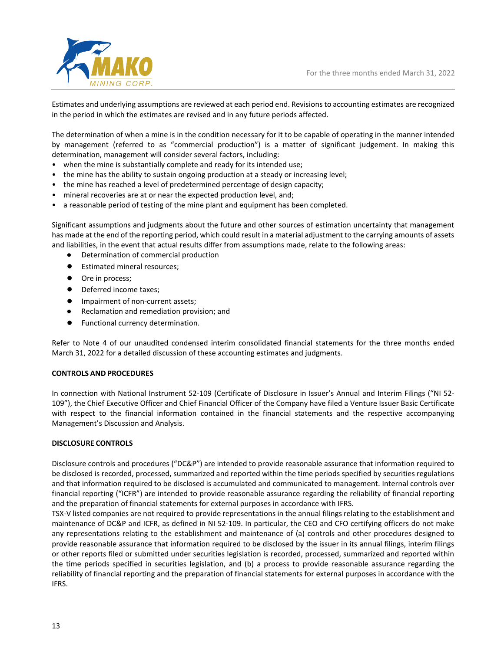![](_page_13_Picture_1.jpeg)

Estimates and underlying assumptions are reviewed at each period end. Revisions to accounting estimates are recognized in the period in which the estimates are revised and in any future periods affected.

The determination of when a mine is in the condition necessary for it to be capable of operating in the manner intended by management (referred to as "commercial production") is a matter of significant judgement. In making this determination, management will consider several factors, including:

- when the mine is substantially complete and ready for its intended use;
- the mine has the ability to sustain ongoing production at a steady or increasing level;
- the mine has reached a level of predetermined percentage of design capacity;
- mineral recoveries are at or near the expected production level, and;
- a reasonable period of testing of the mine plant and equipment has been completed.

Significant assumptions and judgments about the future and other sources of estimation uncertainty that management has made at the end of the reporting period, which could result in a material adjustment to the carrying amounts of assets and liabilities, in the event that actual results differ from assumptions made, relate to the following areas:

- Determination of commercial production
- Estimated mineral resources;
- Ore in process;
- Deferred income taxes;
- Impairment of non-current assets;
- Reclamation and remediation provision; and
- Functional currency determination.

Refer to Note 4 of our unaudited condensed interim consolidated financial statements for the three months ended March 31, 2022 for a detailed discussion of these accounting estimates and judgments.

#### **CONTROLS AND PROCEDURES**

In connection with National Instrument 52-109 (Certificate of Disclosure in Issuer's Annual and Interim Filings ("NI 52- 109"), the Chief Executive Officer and Chief Financial Officer of the Company have filed a Venture Issuer Basic Certificate with respect to the financial information contained in the financial statements and the respective accompanying Management's Discussion and Analysis.

#### **DISCLOSURE CONTROLS**

Disclosure controls and procedures ("DC&P") are intended to provide reasonable assurance that information required to be disclosed is recorded, processed, summarized and reported within the time periods specified by securities regulations and that information required to be disclosed is accumulated and communicated to management. Internal controls over financial reporting ("ICFR") are intended to provide reasonable assurance regarding the reliability of financial reporting and the preparation of financial statements for external purposes in accordance with IFRS.

TSX-V listed companies are not required to provide representations in the annual filings relating to the establishment and maintenance of DC&P and ICFR, as defined in NI 52-109. In particular, the CEO and CFO certifying officers do not make any representations relating to the establishment and maintenance of (a) controls and other procedures designed to provide reasonable assurance that information required to be disclosed by the issuer in its annual filings, interim filings or other reports filed or submitted under securities legislation is recorded, processed, summarized and reported within the time periods specified in securities legislation, and (b) a process to provide reasonable assurance regarding the reliability of financial reporting and the preparation of financial statements for external purposes in accordance with the IFRS.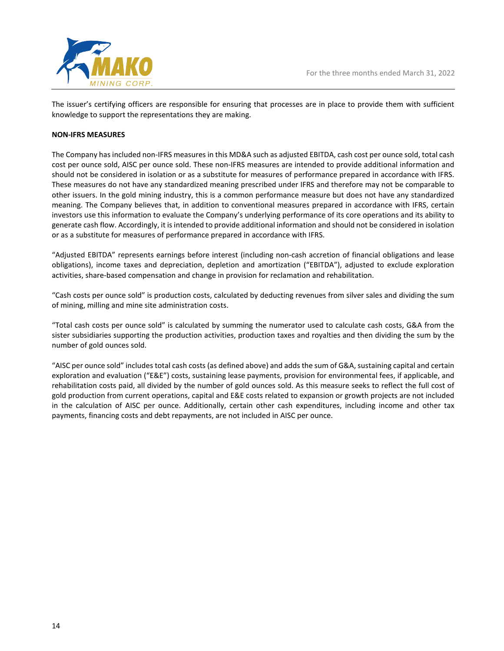![](_page_14_Picture_0.jpeg)

The issuer's certifying officers are responsible for ensuring that processes are in place to provide them with sufficient knowledge to support the representations they are making.

#### **NON-IFRS MEASURES**

The Company has included non-IFRS measures in this MD&A such as adjusted EBITDA, cash cost per ounce sold, total cash cost per ounce sold, AISC per ounce sold. These non-IFRS measures are intended to provide additional information and should not be considered in isolation or as a substitute for measures of performance prepared in accordance with IFRS. These measures do not have any standardized meaning prescribed under IFRS and therefore may not be comparable to other issuers. In the gold mining industry, this is a common performance measure but does not have any standardized meaning. The Company believes that, in addition to conventional measures prepared in accordance with IFRS, certain investors use this information to evaluate the Company's underlying performance of its core operations and its ability to generate cash flow. Accordingly, it is intended to provide additional information and should not be considered in isolation or as a substitute for measures of performance prepared in accordance with IFRS.

"Adjusted EBITDA" represents earnings before interest (including non-cash accretion of financial obligations and lease obligations), income taxes and depreciation, depletion and amortization ("EBITDA"), adjusted to exclude exploration activities, share-based compensation and change in provision for reclamation and rehabilitation.

"Cash costs per ounce sold" is production costs, calculated by deducting revenues from silver sales and dividing the sum of mining, milling and mine site administration costs.

"Total cash costs per ounce sold" is calculated by summing the numerator used to calculate cash costs, G&A from the sister subsidiaries supporting the production activities, production taxes and royalties and then dividing the sum by the number of gold ounces sold.

"AISC per ounce sold" includes total cash costs (as defined above) and adds the sum of G&A, sustaining capital and certain exploration and evaluation ("E&E") costs, sustaining lease payments, provision for environmental fees, if applicable, and rehabilitation costs paid, all divided by the number of gold ounces sold. As this measure seeks to reflect the full cost of gold production from current operations, capital and E&E costs related to expansion or growth projects are not included in the calculation of AISC per ounce. Additionally, certain other cash expenditures, including income and other tax payments, financing costs and debt repayments, are not included in AISC per ounce.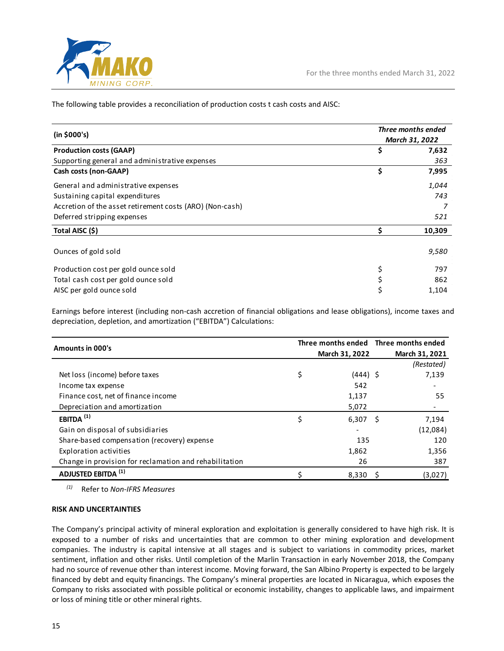![](_page_15_Picture_0.jpeg)

The following table provides a reconciliation of production costs t cash costs and AISC:

| (in \$000's)                                             |     | Three months ended<br>March 31, 2022 |
|----------------------------------------------------------|-----|--------------------------------------|
| <b>Production costs (GAAP)</b>                           | \$  | 7,632                                |
| Supporting general and administrative expenses           |     | 363                                  |
| Cash costs (non-GAAP)                                    | \$  | 7,995                                |
| General and administrative expenses                      |     | 1,044                                |
| Sustaining capital expenditures                          | 743 |                                      |
| Accretion of the asset retirement costs (ARO) (Non-cash) |     |                                      |
| Deferred stripping expenses                              |     | 521                                  |
| Total AISC (\$)                                          |     | 10,309                               |
| Ounces of gold sold                                      |     | 9,580                                |
| Production cost per gold ounce sold                      | \$  | 797                                  |
| Total cash cost per gold ounce sold                      |     | 862                                  |
| AISC per gold ounce sold                                 |     | 1,104                                |

Earnings before interest (including non-cash accretion of financial obligations and lease obligations), income taxes and depreciation, depletion, and amortization ("EBITDA") Calculations:

| Amounts in 000's                                       | Three months ended Three months ended |                |  |                |
|--------------------------------------------------------|---------------------------------------|----------------|--|----------------|
|                                                        |                                       | March 31, 2022 |  | March 31, 2021 |
|                                                        |                                       |                |  | (Restated)     |
| Net loss (income) before taxes                         | \$                                    | $(444)$ \$     |  | 7,139          |
| Income tax expense                                     |                                       | 542            |  |                |
| Finance cost, net of finance income                    |                                       | 1,137          |  | 55             |
| Depreciation and amortization                          |                                       | 5,072          |  |                |
| EBITDA $(1)$                                           | \$                                    | $6,307$ \$     |  | 7,194          |
| Gain on disposal of subsidiaries                       |                                       |                |  | (12,084)       |
| Share-based compensation (recovery) expense            |                                       | 135            |  | 120            |
| Exploration activities                                 |                                       | 1,862          |  | 1,356          |
| Change in provision for reclamation and rehabilitation |                                       | 26             |  | 387            |
| <b>ADJUSTED EBITDA (1)</b>                             |                                       | 8,330          |  | (3,027)        |

*(1)* Refer to *Non-IFRS Measures*

# **RISK AND UNCERTAINTIES**

The Company's principal activity of mineral exploration and exploitation is generally considered to have high risk. It is exposed to a number of risks and uncertainties that are common to other mining exploration and development companies. The industry is capital intensive at all stages and is subject to variations in commodity prices, market sentiment, inflation and other risks. Until completion of the Marlin Transaction in early November 2018, the Company had no source of revenue other than interest income. Moving forward, the San Albino Property is expected to be largely financed by debt and equity financings. The Company's mineral properties are located in Nicaragua, which exposes the Company to risks associated with possible political or economic instability, changes to applicable laws, and impairment or loss of mining title or other mineral rights.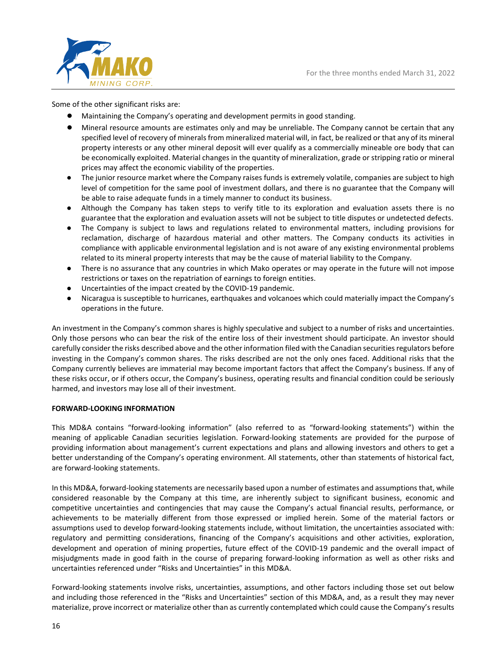![](_page_16_Picture_1.jpeg)

Some of the other significant risks are:

- Maintaining the Company's operating and development permits in good standing.
- Mineral resource amounts are estimates only and may be unreliable. The Company cannot be certain that any specified level of recovery of minerals from mineralized material will, in fact, be realized or that any of its mineral property interests or any other mineral deposit will ever qualify as a commercially mineable ore body that can be economically exploited. Material changes in the quantity of mineralization, grade or stripping ratio or mineral prices may affect the economic viability of the properties.
- The junior resource market where the Company raises funds is extremely volatile, companies are subject to high level of competition for the same pool of investment dollars, and there is no guarantee that the Company will be able to raise adequate funds in a timely manner to conduct its business.
- Although the Company has taken steps to verify title to its exploration and evaluation assets there is no guarantee that the exploration and evaluation assets will not be subject to title disputes or undetected defects.
- The Company is subject to laws and regulations related to environmental matters, including provisions for reclamation, discharge of hazardous material and other matters. The Company conducts its activities in compliance with applicable environmental legislation and is not aware of any existing environmental problems related to its mineral property interests that may be the cause of material liability to the Company.
- There is no assurance that any countries in which Mako operates or may operate in the future will not impose restrictions or taxes on the repatriation of earnings to foreign entities.
- Uncertainties of the impact created by the COVID-19 pandemic.
- Nicaragua is susceptible to hurricanes, earthquakes and volcanoes which could materially impact the Company's operations in the future.

An investment in the Company's common shares is highly speculative and subject to a number of risks and uncertainties. Only those persons who can bear the risk of the entire loss of their investment should participate. An investor should carefully consider the risks described above and the other information filed with the Canadian securities regulators before investing in the Company's common shares. The risks described are not the only ones faced. Additional risks that the Company currently believes are immaterial may become important factors that affect the Company's business. If any of these risks occur, or if others occur, the Company's business, operating results and financial condition could be seriously harmed, and investors may lose all of their investment.

#### **FORWARD-LOOKING INFORMATION**

This MD&A contains "forward-looking information" (also referred to as "forward-looking statements") within the meaning of applicable Canadian securities legislation. Forward-looking statements are provided for the purpose of providing information about management's current expectations and plans and allowing investors and others to get a better understanding of the Company's operating environment. All statements, other than statements of historical fact, are forward-looking statements.

In this MD&A, forward-looking statements are necessarily based upon a number of estimates and assumptions that, while considered reasonable by the Company at this time, are inherently subject to significant business, economic and competitive uncertainties and contingencies that may cause the Company's actual financial results, performance, or achievements to be materially different from those expressed or implied herein. Some of the material factors or assumptions used to develop forward-looking statements include, without limitation, the uncertainties associated with: regulatory and permitting considerations, financing of the Company's acquisitions and other activities, exploration, development and operation of mining properties, future effect of the COVID-19 pandemic and the overall impact of misjudgments made in good faith in the course of preparing forward-looking information as well as other risks and uncertainties referenced under "Risks and Uncertainties" in this MD&A.

Forward-looking statements involve risks, uncertainties, assumptions, and other factors including those set out below and including those referenced in the "Risks and Uncertainties" section of this MD&A, and, as a result they may never materialize, prove incorrect or materialize other than as currently contemplated which could cause the Company's results